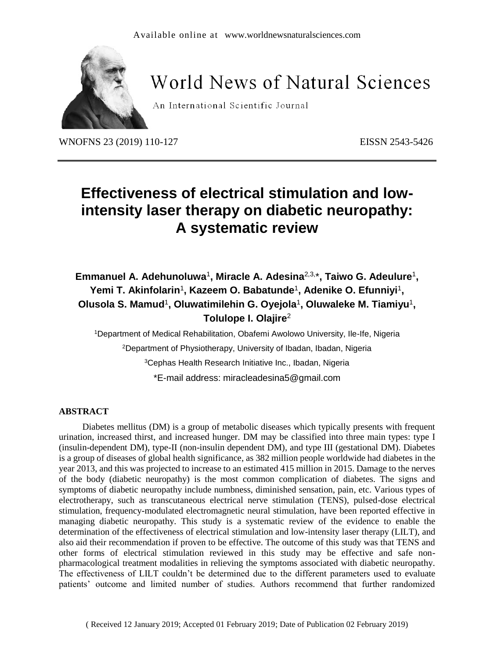

# **World News of Natural Sciences**

An International Scientific Journal

WNOFNS 23 (2019) 110-127 EISSN 2543-5426

## **Effectiveness of electrical stimulation and lowintensity laser therapy on diabetic neuropathy: A systematic review**

## Emmanuel A. Adehunoluwa<sup>1</sup>, Miracle A. Adesina<sup>2,3,\*</sup>, Taiwo G. Adeulure<sup>1</sup>, Yemi T. Akinfolarin<sup>1</sup>, Kazeem O. Babatunde<sup>1</sup>, Adenike O. Efunniyi<sup>1</sup>, **Olusola S. Mamud**<sup>1</sup> **, Oluwatimilehin G. Oyejola**<sup>1</sup> **, Oluwaleke M. Tiamiyu**<sup>1</sup> **, Tolulope I. Olajire**<sup>2</sup>

Department of Medical Rehabilitation, Obafemi Awolowo University, Ile-Ife, Nigeria Department of Physiotherapy, University of Ibadan, Ibadan, Nigeria Cephas Health Research Initiative Inc., Ibadan, Nigeria \*E-mail address: miracleadesina5@gmail.com

#### **ABSTRACT**

Diabetes mellitus (DM) is a group of metabolic diseases which typically presents with frequent urination, increased thirst, and increased hunger. DM may be classified into three main types: type I (insulin-dependent DM), type-II (non-insulin dependent DM), and type III (gestational DM). Diabetes is a group of diseases of global health significance, as 382 million people worldwide had diabetes in the year 2013, and this was projected to increase to an estimated 415 million in 2015. Damage to the nerves of the body (diabetic neuropathy) is the most common complication of diabetes. The signs and symptoms of diabetic neuropathy include numbness, diminished sensation, pain, etc. Various types of electrotherapy, such as transcutaneous electrical nerve stimulation (TENS), pulsed-dose electrical stimulation, frequency-modulated electromagnetic neural stimulation, have been reported effective in managing diabetic neuropathy. This study is a systematic review of the evidence to enable the determination of the effectiveness of electrical stimulation and low-intensity laser therapy (LILT), and also aid their recommendation if proven to be effective. The outcome of this study was that TENS and other forms of electrical stimulation reviewed in this study may be effective and safe nonpharmacological treatment modalities in relieving the symptoms associated with diabetic neuropathy. The effectiveness of LILT couldn't be determined due to the different parameters used to evaluate patients' outcome and limited number of studies. Authors recommend that further randomized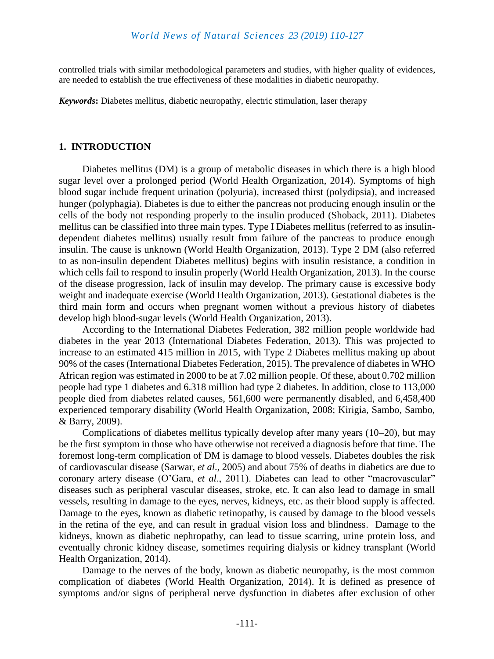controlled trials with similar methodological parameters and studies, with higher quality of evidences, are needed to establish the true effectiveness of these modalities in diabetic neuropathy.

*Keywords***:** Diabetes mellitus, diabetic neuropathy, electric stimulation, laser therapy

#### **1. INTRODUCTION**

Diabetes mellitus (DM) is a group of metabolic diseases in which there is a high blood sugar level over a prolonged period (World Health Organization, 2014). Symptoms of high blood sugar include frequent urination (polyuria), increased thirst (polydipsia), and increased hunger (polyphagia). Diabetes is due to either the pancreas not producing enough insulin or the cells of the body not responding properly to the insulin produced (Shoback, 2011). Diabetes mellitus can be classified into three main types. Type I Diabetes mellitus (referred to as insulindependent diabetes mellitus) usually result from failure of the pancreas to produce enough insulin. The cause is unknown (World Health Organization, 2013). Type 2 DM (also referred to as non-insulin dependent Diabetes mellitus) begins with insulin resistance, a condition in which cells fail to respond to insulin properly (World Health Organization, 2013). In the course of the disease progression, lack of insulin may develop. The primary cause is excessive body weight and inadequate exercise (World Health Organization, 2013). Gestational diabetes is the third main form and occurs when pregnant women without a previous history of diabetes develop high blood-sugar levels (World Health Organization, 2013).

According to the International Diabetes Federation, 382 million people worldwide had diabetes in the year 2013 (International Diabetes Federation, 2013). This was projected to increase to an estimated 415 million in 2015, with Type 2 Diabetes mellitus making up about 90% of the cases (International Diabetes Federation, 2015). The prevalence of diabetes in WHO African region was estimated in 2000 to be at 7.02 million people. Of these, about 0.702 million people had type 1 diabetes and 6.318 million had type 2 diabetes. In addition, close to 113,000 people died from diabetes related causes, 561,600 were permanently disabled, and 6,458,400 experienced temporary disability (World Health Organization, 2008; Kirigia, Sambo, Sambo, & Barry, 2009).

Complications of diabetes mellitus typically develop after many years (10–20), but may be the first symptom in those who have otherwise not received a diagnosis before that time. The foremost long-term complication of DM is damage to blood vessels. Diabetes doubles the risk of cardiovascular disease (Sarwar, *et al*., 2005) and about 75% of deaths in diabetics are due to coronary artery disease (O'Gara, *et al*., 2011). Diabetes can lead to other "macrovascular" diseases such as peripheral vascular diseases, stroke, etc. It can also lead to damage in small vessels, resulting in damage to the eyes, nerves, kidneys, etc. as their blood supply is affected. Damage to the eyes, known as diabetic retinopathy, is caused by damage to the blood vessels in the retina of the eye, and can result in gradual vision loss and blindness. Damage to the kidneys, known as diabetic nephropathy, can lead to tissue scarring, urine protein loss, and eventually chronic kidney disease, sometimes requiring dialysis or kidney transplant (World Health Organization, 2014).

Damage to the nerves of the body, known as diabetic neuropathy, is the most common complication of diabetes (World Health Organization, 2014). It is defined as presence of symptoms and/or signs of peripheral nerve dysfunction in diabetes after exclusion of other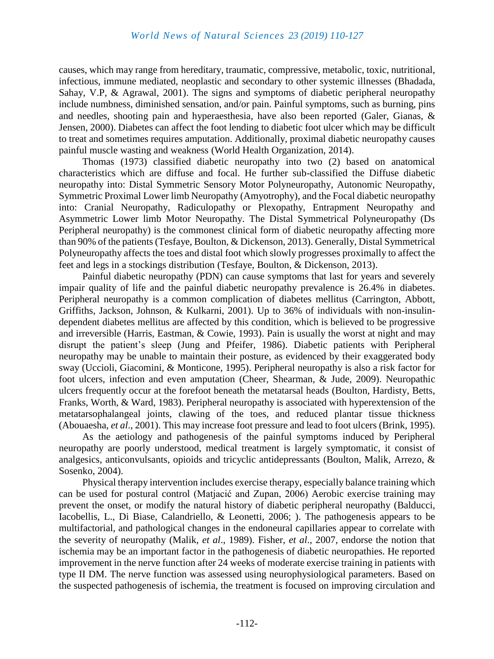causes, which may range from hereditary, traumatic, compressive, metabolic, toxic, nutritional, infectious, immune mediated, neoplastic and secondary to other systemic illnesses (Bhadada, Sahay, V.P, & Agrawal, 2001). The signs and symptoms of diabetic peripheral neuropathy include numbness, diminished sensation, and/or pain. Painful symptoms, such as burning, pins and needles, shooting pain and hyperaesthesia, have also been reported (Galer, Gianas, & Jensen, 2000). Diabetes can affect the foot lending to diabetic foot ulcer which may be difficult to treat and sometimes requires amputation. Additionally, proximal diabetic neuropathy causes painful muscle wasting and weakness (World Health Organization, 2014).

Thomas (1973) classified diabetic neuropathy into two (2) based on anatomical characteristics which are diffuse and focal. He further sub-classified the Diffuse diabetic neuropathy into: Distal Symmetric Sensory Motor Polyneuropathy, Autonomic Neuropathy, Symmetric Proximal Lower limb Neuropathy (Amyotrophy), and the Focal diabetic neuropathy into: Cranial Neuropathy, Radiculopathy or Plexopathy, Entrapment Neuropathy and Asymmetric Lower limb Motor Neuropathy. The Distal Symmetrical Polyneuropathy (Ds Peripheral neuropathy) is the commonest clinical form of diabetic neuropathy affecting more than 90% of the patients(Tesfaye, Boulton, & Dickenson, 2013). Generally, Distal Symmetrical Polyneuropathy affects the toes and distal foot which slowly progresses proximally to affect the feet and legs in a stockings distribution (Tesfaye, Boulton, & Dickenson, 2013).

Painful diabetic neuropathy (PDN) can cause symptoms that last for years and severely impair quality of life and the painful diabetic neuropathy prevalence is 26.4% in diabetes. Peripheral neuropathy is a common complication of diabetes mellitus (Carrington, Abbott, Griffiths, Jackson, Johnson, & Kulkarni, 2001). Up to 36% of individuals with non-insulindependent diabetes mellitus are affected by this condition, which is believed to be progressive and irreversible (Harris, Eastman, & Cowie, 1993). Pain is usually the worst at night and may disrupt the patient's sleep (Jung and Pfeifer, 1986). Diabetic patients with Peripheral neuropathy may be unable to maintain their posture, as evidenced by their exaggerated body sway (Uccioli, Giacomini, & Monticone, 1995). Peripheral neuropathy is also a risk factor for foot ulcers, infection and even amputation (Cheer, Shearman, & Jude, 2009). Neuropathic ulcers frequently occur at the forefoot beneath the metatarsal heads (Boulton, Hardisty, Betts, Franks, Worth, & Ward, 1983). Peripheral neuropathy is associated with hyperextension of the metatarsophalangeal joints, clawing of the toes, and reduced plantar tissue thickness (Abouaesha, *et al*., 2001). This may increase foot pressure and lead to foot ulcers (Brink, 1995).

As the aetiology and pathogenesis of the painful symptoms induced by Peripheral neuropathy are poorly understood, medical treatment is largely symptomatic, it consist of analgesics, anticonvulsants, opioids and tricyclic antidepressants (Boulton, Malik, Arrezo, & Sosenko, 2004).

Physical therapy intervention includes exercise therapy, especially balance training which can be used for postural control (Matjacić and Zupan, 2006) Aerobic exercise training may prevent the onset, or modify the natural history of diabetic peripheral neuropathy (Balducci, Iacobellis, L., Di Biase, Calandriello, & Leonetti, 2006; ). The pathogenesis appears to be multifactorial, and pathological changes in the endoneural capillaries appear to correlate with the severity of neuropathy (Malik, *et al*., 1989). Fisher, *et al*., 2007, endorse the notion that ischemia may be an important factor in the pathogenesis of diabetic neuropathies. He reported improvement in the nerve function after 24 weeks of moderate exercise training in patients with type II DM. The nerve function was assessed using neurophysiological parameters. Based on the suspected pathogenesis of ischemia, the treatment is focused on improving circulation and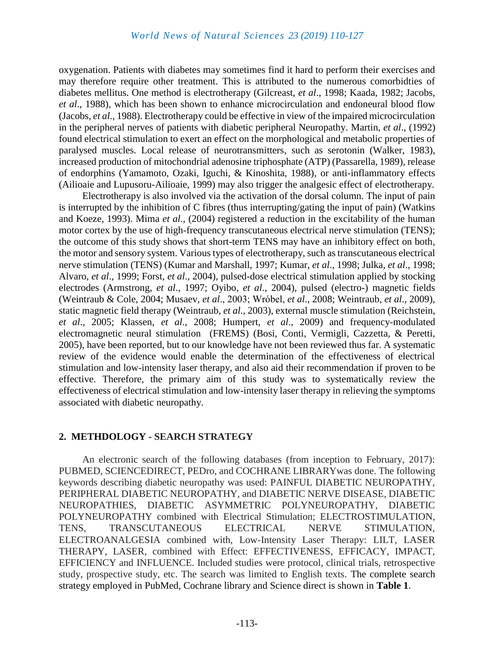oxygenation. Patients with diabetes may sometimes find it hard to perform their exercises and may therefore require other treatment. This is attributed to the numerous comorbidties of diabetes mellitus. One method is electrotherapy (Gilcreast, *et al*., 1998; Kaada, 1982; Jacobs, *et al*., 1988), which has been shown to enhance microcirculation and endoneural blood flow (Jacobs, *et al*., 1988). Electrotherapy could be effective in view of the impaired microcirculation in the peripheral nerves of patients with diabetic peripheral Neuropathy. Martin, *et al*., (1992) found electrical stimulation to exert an effect on the morphological and metabolic properties of paralysed muscles. Local release of neurotransmitters, such as serotonin (Walker, 1983), increased production of mitochondrial adenosine triphosphate (ATP) (Passarella, 1989), release of endorphins (Yamamoto, Ozaki, Iguchi, & Kinoshita, 1988), or anti-inflammatory effects (Ailioaie and Lupusoru-Ailioaie, 1999) may also trigger the analgesic effect of electrotherapy.

Electrotherapy is also involved via the activation of the dorsal column. The input of pain is interrupted by the inhibition of C fibres (thus interrupting/gating the input of pain) (Watkins and Koeze, 1993). Mima *et al*., (2004) registered a reduction in the excitability of the human motor cortex by the use of high-frequency transcutaneous electrical nerve stimulation (TENS): the outcome of this study shows that short-term TENS may have an inhibitory effect on both, the motor and sensory system. Various types of electrotherapy, such as transcutaneous electrical nerve stimulation (TENS) (Kumar and Marshall, 1997; Kumar, *et al*., 1998; Julka, *et al*., 1998; Alvaro, *et al*., 1999; Forst, *et al*., 2004), pulsed-dose electrical stimulation applied by stocking electrodes (Armstrong, *et al*., 1997; Oyibo, *et al*., 2004), pulsed (electro-) magnetic fields (Weintraub & Cole, 2004; Musaev, *et al*., 2003; Wróbel, *et al*., 2008; Weintraub, *et al*., 2009), static magnetic field therapy (Weintraub, *et al*., 2003), external muscle stimulation (Reichstein, *et al*., 2005; Klassen, *et al*., 2008; Humpert, *et al*., 2009) and frequency-modulated electromagnetic neural stimulation (FREMS) (Bosi, Conti, Vermigli, Cazzetta, & Peretti, 2005), have been reported, but to our knowledge have not been reviewed thus far. A systematic review of the evidence would enable the determination of the effectiveness of electrical stimulation and low-intensity laser therapy, and also aid their recommendation if proven to be effective. Therefore, the primary aim of this study was to systematically review the effectiveness of electrical stimulation and low-intensity laser therapy in relieving the symptoms associated with diabetic neuropathy.

#### **2. METHDOLOGY - SEARCH STRATEGY**

An electronic search of the following databases (from inception to February, 2017): PUBMED, SCIENCEDIRECT, PEDro, and COCHRANE LIBRARYwas done. The following keywords describing diabetic neuropathy was used: PAINFUL DIABETIC NEUROPATHY, PERIPHERAL DIABETIC NEUROPATHY, and DIABETIC NERVE DISEASE, DIABETIC NEUROPATHIES, DIABETIC ASYMMETRIC POLYNEUROPATHY, DIABETIC POLYNEUROPATHY combined with Electrical Stimulation; ELECTROSTIMULATION, TENS, TRANSCUTANEOUS ELECTRICAL NERVE STIMULATION, ELECTROANALGESIA combined with, Low-Intensity Laser Therapy: LILT, LASER THERAPY, LASER, combined with Effect: EFFECTIVENESS, EFFICACY, IMPACT, EFFICIENCY and INFLUENCE. Included studies were protocol, clinical trials, retrospective study, prospective study, etc. The search was limited to English texts. The complete search strategy employed in PubMed, Cochrane library and Science direct is shown in **Table 1**.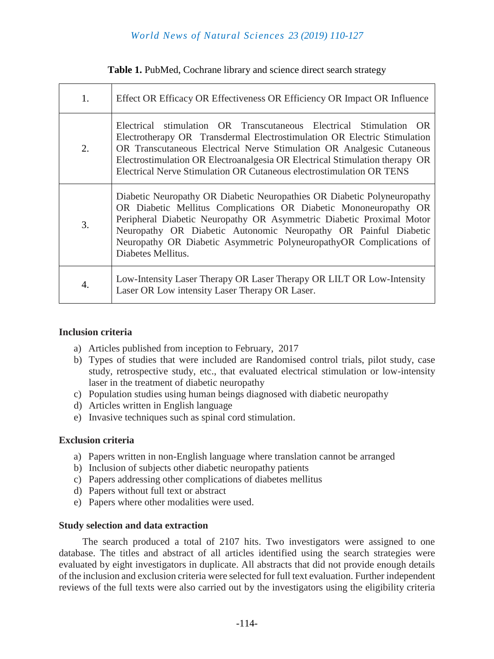| Table 1. PubMed, Cochrane library and science direct search strategy |  |
|----------------------------------------------------------------------|--|
|----------------------------------------------------------------------|--|

| 1. | Effect OR Efficacy OR Effectiveness OR Efficiency OR Impact OR Influence                                                                                                                                                                                                                                                                                                            |
|----|-------------------------------------------------------------------------------------------------------------------------------------------------------------------------------------------------------------------------------------------------------------------------------------------------------------------------------------------------------------------------------------|
| 2. | Electrical stimulation OR Transcutaneous Electrical Stimulation OR<br>Electrotherapy OR Transdermal Electrostimulation OR Electric Stimulation<br>OR Transcutaneous Electrical Nerve Stimulation OR Analgesic Cutaneous<br>Electrostimulation OR Electroanalgesia OR Electrical Stimulation therapy OR<br>Electrical Nerve Stimulation OR Cutaneous electrostimulation OR TENS      |
| 3. | Diabetic Neuropathy OR Diabetic Neuropathies OR Diabetic Polyneuropathy<br>OR Diabetic Mellitus Complications OR Diabetic Mononeuropathy OR<br>Peripheral Diabetic Neuropathy OR Asymmetric Diabetic Proximal Motor<br>Neuropathy OR Diabetic Autonomic Neuropathy OR Painful Diabetic<br>Neuropathy OR Diabetic Asymmetric PolyneuropathyOR Complications of<br>Diabetes Mellitus. |
| 4. | Low-Intensity Laser Therapy OR Laser Therapy OR LILT OR Low-Intensity<br>Laser OR Low intensity Laser Therapy OR Laser.                                                                                                                                                                                                                                                             |

#### **Inclusion criteria**

- a) Articles published from inception to February, 2017
- b) Types of studies that were included are Randomised control trials, pilot study, case study, retrospective study, etc., that evaluated electrical stimulation or low-intensity laser in the treatment of diabetic neuropathy
- c) Population studies using human beings diagnosed with diabetic neuropathy
- d) Articles written in English language
- e) Invasive techniques such as spinal cord stimulation.

#### **Exclusion criteria**

- a) Papers written in non-English language where translation cannot be arranged
- b) Inclusion of subjects other diabetic neuropathy patients
- c) Papers addressing other complications of diabetes mellitus
- d) Papers without full text or abstract
- e) Papers where other modalities were used.

#### **Study selection and data extraction**

The search produced a total of 2107 hits. Two investigators were assigned to one database. The titles and abstract of all articles identified using the search strategies were evaluated by eight investigators in duplicate. All abstracts that did not provide enough details of the inclusion and exclusion criteria were selected for full text evaluation. Further independent reviews of the full texts were also carried out by the investigators using the eligibility criteria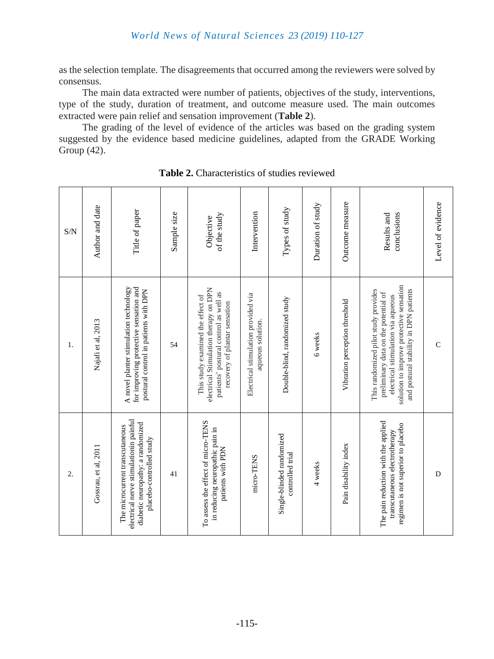as the selection template. The disagreements that occurred among the reviewers were solved by consensus.

The main data extracted were number of patients, objectives of the study, interventions, type of the study, duration of treatment, and outcome measure used. The main outcomes extracted were pain relief and sensation improvement (**Table 2**).

The grading of the level of evidence of the articles was based on the grading system suggested by the evidence based medicine guidelines, adapted from the GRADE Working Group (42).

| Gossrau, et al, 2011                                                                                           |
|----------------------------------------------------------------------------------------------------------------|
| electrical nerve stimulationin painful<br>diabetic neuropathy: a randomized<br>The microcurrent transcutaneous |
|                                                                                                                |
| To assess the effect of micro-TENS                                                                             |
|                                                                                                                |
|                                                                                                                |
|                                                                                                                |
|                                                                                                                |
|                                                                                                                |
|                                                                                                                |

**Table 2.** Characteristics of studies reviewed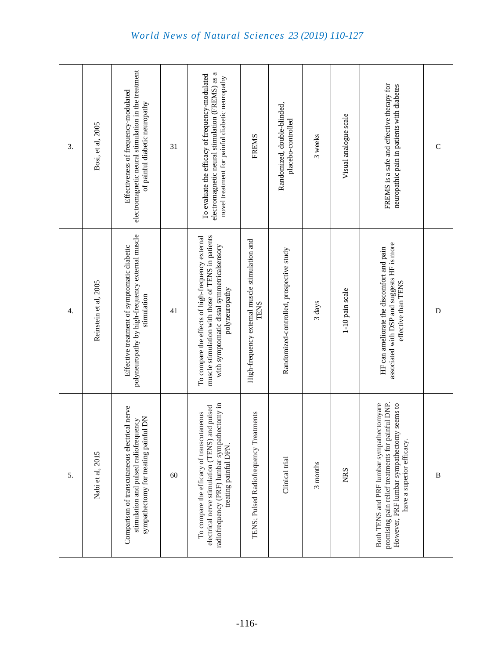electromagnetic neural stimulation in the treatment electromagnetic neural stimulation in the treatment electromagnetic neural stimulation (FREMS) as a electromagnetic neural stimulation (FREMS) as a To evaluate the efficacy of frequency-modulated To evaluate the efficacy of frequency-modulated novel treatment for painful diabetic neuropathy novel treatment for painful diabetic neuropathy FREMS is a safe and effective therapy for<br>neuropathic pain in patients with diabetes FREMS is a safe and effective therapy for neuropathic pain in patients with diabetes Effectiveness of frequency-modulated Effectiveness of frequency-modulated of painful diabetic neuropathy Randomized, double-blinded, of painful diabetic neuropathy Randomized, double-blinded, Visual analogue scale Visual analogue scale placebo-controlled placebo-controlled Bosi, et al, 2005 Bosi, et al, 2005 FREMS 3 weeks 3. 31 C polyneuropathy by high-frequency external muscle polyneuropathy by high-frequency external muscle muscle stimulation with those of TENS in patients muscle stimulation with those of TENS in patients To compare the effects of high-frequency external To compare the effects of high-frequency external High-frequency external muscle stimulation and High-frequency external muscle stimulation and associated with DSP and suggests HF is more associated with DSP and suggests HF is more Effective treatment of symptomatic diabetic with symptomatic distal symmetricalsensory with symptomatic distal symmetricalsensory Effective treatment of symptomatic diabetic HF can ameliorate the discomfort and pain HF can ameliorate the discomfort and pain Randomized-controlled, prospective study Randomized-controlled, prospective study effective than TENS Reinstein et al, 2005 Reinstein et al, 2005 effective than TENS polyneuropathy polyneuropathy 1-10 pain scale 1-10 pain scale stimulation TENS 3 days 41 D 4. promising pain relief treatments for painful DNP. radiofrequency (PRF) lumbar sympathectomy in radiofrequency (PRF) lumbar sympathectomy in Both TENS and PRF lumbar sympathectomyare promising pain relief treatments for painful DNP.<br>However, PRF lumbar sympathectomy seems to However, PRF lumbar sympathectomy seems to Both TENS and PRF lumbar sympathectomyare electrical nerve stimulation (TENS) and pulsed electrical nerve stimulation (TENS) and pulsed Comparison of transcutaneous electrical nerve Comparison of transcutaneous electrical nerve To compare the efficacy of transcutaneous TENS; Pulsed Radiofrequency Treatments To compare the efficacy of transcutaneous TENS; Pulsed Radiofrequency Treatments sympathectomy for treating painful DN stimulation and pulsed radiofrequency stimulation and pulsed radiofrequency sympathectomy for treating painful DN have a superior efficacy. have a superior efficacy. treating painful DPN. treating painful DPN. Nabi et al, 2015 Nabi et al, 2015 Clinical trial Clinical trial 3 months NRS 5. 60 B

#### *World News of Natural Sciences 23 (2019) 110 -127*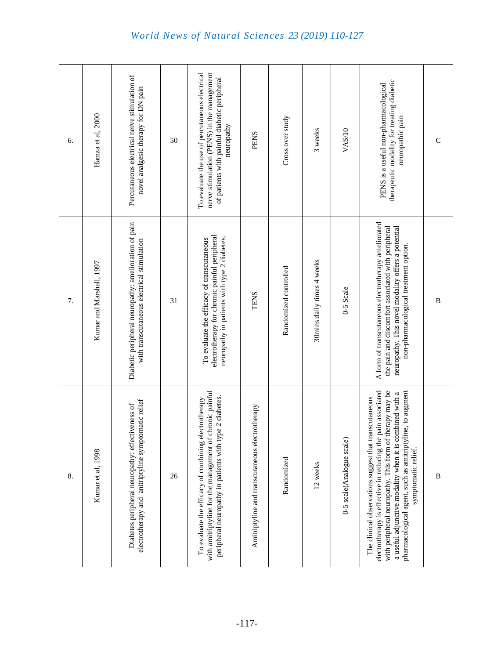| 8.                                                                                                                                                                                                                                                                                                                               | 7.                                                                                                                                                                                                       | 6.                                                                                                                                                         |
|----------------------------------------------------------------------------------------------------------------------------------------------------------------------------------------------------------------------------------------------------------------------------------------------------------------------------------|----------------------------------------------------------------------------------------------------------------------------------------------------------------------------------------------------------|------------------------------------------------------------------------------------------------------------------------------------------------------------|
| Kumar et al, 1998                                                                                                                                                                                                                                                                                                                | Kumar and Marshall, 1997                                                                                                                                                                                 | Hamza et al, 2000                                                                                                                                          |
| electrotherapy and anitriptyline symptomatic relief<br>Diabetes peripheral neuropathy: effectiveness of                                                                                                                                                                                                                          | Diabetic peripheral neuropathy: amelioration of pain<br>with transcutaneous electrical stimulation                                                                                                       | Percutaneous electrical nerve stimulation of<br>novel analgesic therapy for DN pain                                                                        |
| 26                                                                                                                                                                                                                                                                                                                               | 31                                                                                                                                                                                                       | 50                                                                                                                                                         |
| with amitriptyline for the management of chronic painful<br>peripheral neuropathy in patients with type 2 diabetes.<br>To evaluate the efficacy of combining electrotherapy                                                                                                                                                      | electrotherapy for chronic painful peripheral<br>neuropathy in patients with type 2 diabetes.<br>To evaluate the efficacy of transcutaneous                                                              | To evaluate the use of percutaneous electrical<br>nerve stimulation (PENS) in the management<br>of patients with painful diabetic peripheral<br>neuropathy |
| Amitriptyline and transcutaneous electrotherapy                                                                                                                                                                                                                                                                                  | <b>TENS</b>                                                                                                                                                                                              | <b>PENS</b>                                                                                                                                                |
| Randomized                                                                                                                                                                                                                                                                                                                       | Randomized controlled                                                                                                                                                                                    | Cross over study                                                                                                                                           |
| 12 weeks                                                                                                                                                                                                                                                                                                                         | 30mins daily times 4 weeks                                                                                                                                                                               | 3 weeks                                                                                                                                                    |
| 0-5 scale(Analogue scale)                                                                                                                                                                                                                                                                                                        | 0-5 Scale                                                                                                                                                                                                | VAS/10                                                                                                                                                     |
| pain associated<br>with peripheral neuropathy. This form of therapy may be<br>pharmacological agent, such as amitriptyline, to augment<br>a useful adjunctive modality when it is combined with a<br>The clinical observations suggest that transcutaneous<br>electrotherapy is effective in reducing the<br>symptomatic relief. | A form of transcutaneous electrotherapy ameliorated<br>the pain and discomfort associated with peripheral<br>neuropathy. This novel modality offers a potential<br>non-pharmacological treatment option. | therapeutic modality for treating diabetic<br>PENS is a useful non-pharmacological<br>neuropathic pain                                                     |
| $\bf{B}$                                                                                                                                                                                                                                                                                                                         | $\bf{B}$                                                                                                                                                                                                 | $\mathsf{C}$                                                                                                                                               |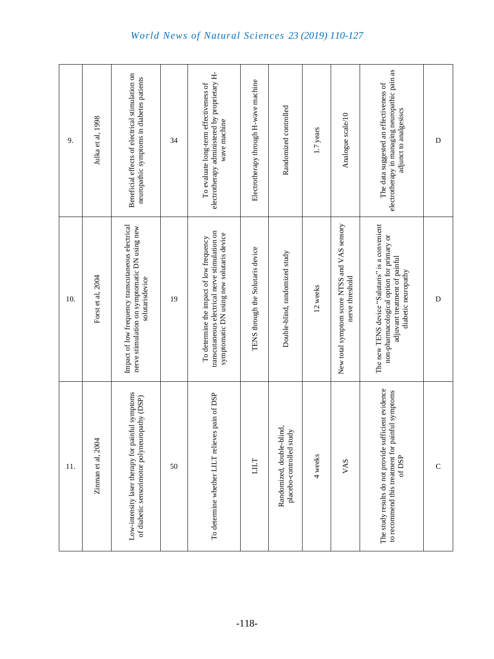| 9.  | Julka et al, 1998  | Beneficial effects of electrical stimulation on<br>neuropathic symptoms in diabetes patients                          | 34 | electrotherapy administered by proprietary H-<br>To evaluate long-term effectiveness of<br>wave machine                                 | Electrotherapy through H-wave machine | Randomized controlled                                 | 1.7 years | Analogue scale/10                                               | electrotherapy in managing neuropathic pain as<br>The data suggested an effectiveness of<br>adjunct to analgesiscs                                   | $\mathbf D$ |
|-----|--------------------|-----------------------------------------------------------------------------------------------------------------------|----|-----------------------------------------------------------------------------------------------------------------------------------------|---------------------------------------|-------------------------------------------------------|-----------|-----------------------------------------------------------------|------------------------------------------------------------------------------------------------------------------------------------------------------|-------------|
| 10. | Forst et al, 2004  | Impact of low frequency transcutaneous electrical<br>nerve stimulation on symptomatic DN using new<br>solutarisdevice | 19 | transcutaneous electrical nerve stimulation on<br>symptomatic DN using new solutaris device<br>To determine the impact of low frequency | TENS through the Solutaris device     | Double-blind, randomized study                        | 12 weeks  | New total symptom score NTSS and VAS sensory<br>nerve threshold | The new TENS device "Salutaris" is a convenient<br>non-pharmacological option for primary or<br>adjuvant treatment of painful<br>diabetic neuropathy | $\mathbf D$ |
| 11. | Zinman et al, 2004 | Low-intensity laser therapy for painful symptoms<br>of diabetic sensorimotor polyneuropathy (DSP)                     | 50 | To determine whether LILT relieves pain of DSP                                                                                          | LILT                                  | Randomized, double-blind,<br>placebo-controlled study | 4 weeks   | VAS                                                             | The study results do not provide sufficient evidence<br>to recommend this treatment for painful symptoms<br>of $DSP$                                 | $\mathsf C$ |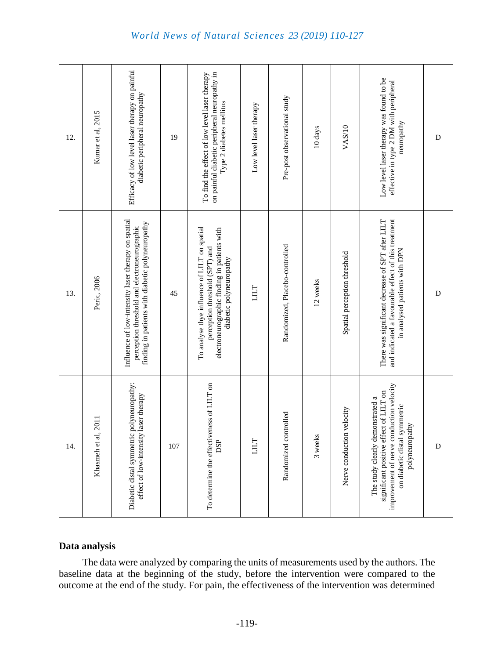| 12. | Kumar et al, 2015      | Efficacy of low level laser therapy on painful<br>diabetic peripheral neuropathy                                                                        | 19  | on painful diabetic peripheral neuropathy in<br>To find the effect of low level laser therapy<br>Type 2 diabetes mellitus                                 | Low level laser therapy | Pre-post observational study   | 10 days  | VAS/10                       | Low level laser therapy was found to be<br>effective in type 2 DM with peripheral<br>neuropathy                                                                          | $\mathbf D$ |
|-----|------------------------|---------------------------------------------------------------------------------------------------------------------------------------------------------|-----|-----------------------------------------------------------------------------------------------------------------------------------------------------------|-------------------------|--------------------------------|----------|------------------------------|--------------------------------------------------------------------------------------------------------------------------------------------------------------------------|-------------|
| 13. | Peric, 2006            | Influence of low-intensity laser therapy on spatial<br>finding in patients with diabetic polyneuropathy<br>perception threshold and electroneurographic | 45  | To analyse thye influence of LILT on spatial<br>electroneurographic finding in patients with<br>perception threshold (SPT) and<br>diabetic polyneuropathy | LILT                    | Randomized, Placebo-controlled | 12 weeks | Spatial perception threshold | and indicated a favourable effect of this treatment<br>There was significant decrease of SPT after LILT<br>in analysed patients with DPN                                 | $\mathbf D$ |
| 14. | al, 2011<br>Khasmeh et | Diabetic distal symmetric polyneuropathy:<br>effect of low-intensity laser therapy                                                                      | 107 | To determine the effectiveness of LILT on<br><b>DSP</b>                                                                                                   | LILT                    | Randomized controlled          | 3 weeks  | Nerve conduction velocity    | improvement of nerve conduction velocity<br>significant positive effect of LILT on<br>The study clearly demonstrated a<br>on diabetic distal symmetric<br>polyneuropathy | $\mathbf D$ |

#### **Data analysis**

The data were analyzed by comparing the units of measurements used by the authors. The baseline data at the beginning of the study, before the intervention were compared to the outcome at the end of the study. For pain, the effectiveness of the intervention was determined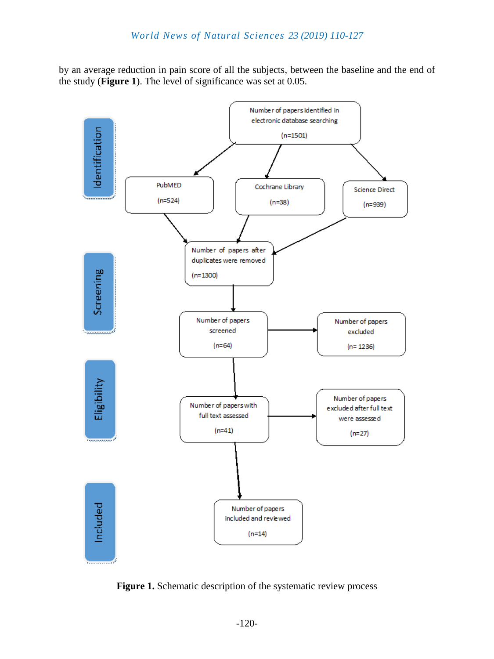by an average reduction in pain score of all the subjects, between the baseline and the end of the study (**Figure 1**). The level of significance was set at 0.05.



**Figure 1.** Schematic description of the systematic review process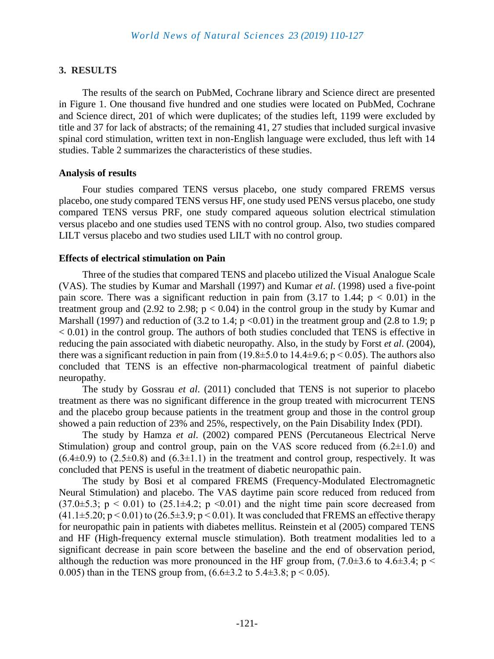#### **3. RESULTS**

The results of the search on PubMed, Cochrane library and Science direct are presented in Figure 1. One thousand five hundred and one studies were located on PubMed, Cochrane and Science direct, 201 of which were duplicates; of the studies left, 1199 were excluded by title and 37 for lack of abstracts; of the remaining 41, 27 studies that included surgical invasive spinal cord stimulation, written text in non-English language were excluded, thus left with 14 studies. Table 2 summarizes the characteristics of these studies.

#### **Analysis of results**

Four studies compared TENS versus placebo, one study compared FREMS versus placebo, one study compared TENS versus HF, one study used PENS versus placebo, one study compared TENS versus PRF, one study compared aqueous solution electrical stimulation versus placebo and one studies used TENS with no control group. Also, two studies compared LILT versus placebo and two studies used LILT with no control group.

#### **Effects of electrical stimulation on Pain**

Three of the studies that compared TENS and placebo utilized the Visual Analogue Scale (VAS). The studies by Kumar and Marshall (1997) and Kumar *et al*. (1998) used a five-point pain score. There was a significant reduction in pain from  $(3.17 \text{ to } 1.44; \text{ p} < 0.01)$  in the treatment group and (2.92 to 2.98;  $p < 0.04$ ) in the control group in the study by Kumar and Marshall (1997) and reduction of (3.2 to 1.4;  $p \le 0.01$ ) in the treatment group and (2.8 to 1.9; p  $< 0.01$ ) in the control group. The authors of both studies concluded that TENS is effective in reducing the pain associated with diabetic neuropathy. Also, in the study by Forst *et al*. (2004), there was a significant reduction in pain from  $(19.8\pm 5.0 \text{ to } 14.4\pm 9.6; p < 0.05)$ . The authors also concluded that TENS is an effective non-pharmacological treatment of painful diabetic neuropathy.

The study by Gossrau *et al*. (2011) concluded that TENS is not superior to placebo treatment as there was no significant difference in the group treated with microcurrent TENS and the placebo group because patients in the treatment group and those in the control group showed a pain reduction of 23% and 25%, respectively, on the Pain Disability Index (PDI).

The study by Hamza *et al*. (2002) compared PENS (Percutaneous Electrical Nerve Stimulation) group and control group, pain on the VAS score reduced from  $(6.2 \pm 1.0)$  and  $(6.4\pm0.9)$  to  $(2.5\pm0.8)$  and  $(6.3\pm1.1)$  in the treatment and control group, respectively. It was concluded that PENS is useful in the treatment of diabetic neuropathic pain.

The study by Bosi et al compared FREMS (Frequency-Modulated Electromagnetic Neural Stimulation) and placebo. The VAS daytime pain score reduced from reduced from  $(37.0\pm5.3; p \le 0.01)$  to  $(25.1\pm4.2; p \le 0.01)$  and the night time pain score decreased from  $(41.1\pm5.20; p < 0.01)$  to  $(26.5\pm3.9; p < 0.01)$ . It was concluded that FREMS an effective therapy for neuropathic pain in patients with diabetes mellitus. Reinstein et al (2005) compared TENS and HF (High-frequency external muscle stimulation). Both treatment modalities led to a significant decrease in pain score between the baseline and the end of observation period, although the reduction was more pronounced in the HF group from,  $(7.0\pm3.6$  to  $4.6\pm3.4$ ; p < 0.005) than in the TENS group from,  $(6.6\pm3.2 \text{ to } 5.4\pm3.8; p < 0.05)$ .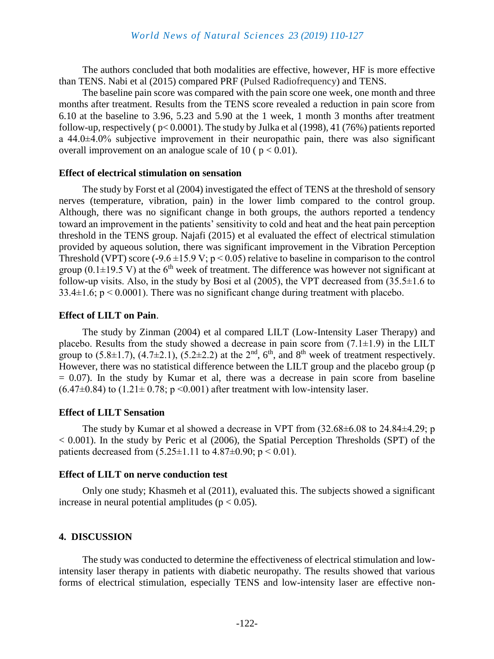The authors concluded that both modalities are effective, however, HF is more effective than TENS. Nabi et al (2015) compared PRF (Pulsed Radiofrequency) and TENS.

The baseline pain score was compared with the pain score one week, one month and three months after treatment. Results from the TENS score revealed a reduction in pain score from 6.10 at the baseline to 3.96, 5.23 and 5.90 at the 1 week, 1 month 3 months after treatment follow-up, respectively ( $p<0.0001$ ). The study by Julka et al (1998), 41 (76%) patients reported a 44.0±4.0% subjective improvement in their neuropathic pain, there was also significant overall improvement on an analogue scale of 10 ( $p < 0.01$ ).

#### **Effect of electrical stimulation on sensation**

The study by Forst et al (2004) investigated the effect of TENS at the threshold of sensory nerves (temperature, vibration, pain) in the lower limb compared to the control group. Although, there was no significant change in both groups, the authors reported a tendency toward an improvement in the patients' sensitivity to cold and heat and the heat pain perception threshold in the TENS group. Najafi (2015) et al evaluated the effect of electrical stimulation provided by aqueous solution, there was significant improvement in the Vibration Perception Threshold (VPT) score (**-**9.6 ±15.9 V; p < 0.05) relative to baseline in comparison to the control group (0.1 $\pm$ 19.5 V) at the 6<sup>th</sup> week of treatment. The difference was however not significant at follow**-**up visits. Also, in the study by Bosi et al (2005), the VPT decreased from (35.5±1.6 to  $33.4 \pm 1.6$ ; p < 0.0001). There was no significant change during treatment with placebo.

#### **Effect of LILT on Pain**.

The study by Zinman (2004) et al compared LILT (Low-Intensity Laser Therapy) and placebo. Results from the study showed a decrease in pain score from  $(7.1\pm1.9)$  in the LILT group to  $(5.8\pm1.7)$ ,  $(4.7\pm2.1)$ ,  $(5.2\pm2.2)$  at the  $2<sup>nd</sup>$ ,  $6<sup>th</sup>$ , and  $8<sup>th</sup>$  week of treatment respectively. However, there was no statistical difference between the LILT group and the placebo group (p  $= 0.07$ ). In the study by Kumar et al, there was a decrease in pain score from baseline  $(6.47\pm0.84)$  to  $(1.21\pm0.78; p \le 0.001)$  after treatment with low-intensity laser.

#### **Effect of LILT Sensation**

The study by Kumar et al showed a decrease in VPT from (32.68±6.08 to 24.84±4.29; p  $< 0.001$ ). In the study by Peric et al (2006), the Spatial Perception Thresholds (SPT) of the patients decreased from  $(5.25 \pm 1.11)$  to  $4.87 \pm 0.90$ ;  $p < 0.01$ ).

#### **Effect of LILT on nerve conduction test**

Only one study; Khasmeh et al (2011), evaluated this. The subjects showed a significant increase in neural potential amplitudes ( $p < 0.05$ ).

#### **4. DISCUSSION**

The study was conducted to determine the effectiveness of electrical stimulation and lowintensity laser therapy in patients with diabetic neuropathy. The results showed that various forms of electrical stimulation, especially TENS and low-intensity laser are effective non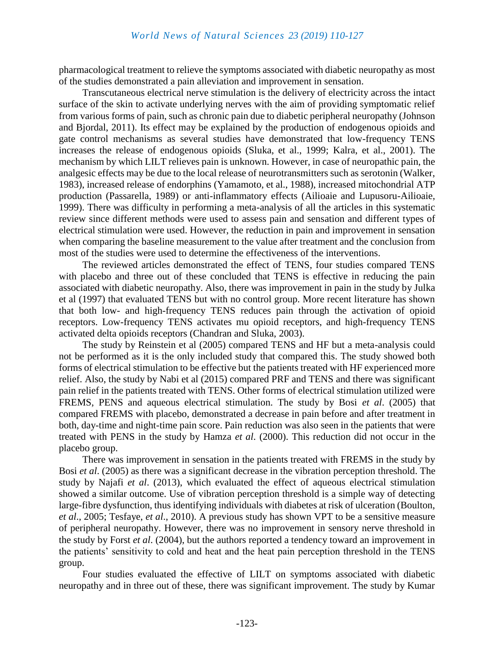pharmacological treatment to relieve the symptoms associated with diabetic neuropathy as most of the studies demonstrated a pain alleviation and improvement in sensation.

Transcutaneous electrical nerve stimulation is the delivery of electricity across the intact surface of the skin to activate underlying nerves with the aim of providing symptomatic relief from various forms of pain, such as chronic pain due to diabetic peripheral neuropathy (Johnson and Bjordal, 2011). Its effect may be explained by the production of endogenous opioids and gate control mechanisms as several studies have demonstrated that low-frequency TENS increases the release of endogenous opioids (Sluka, et al., 1999; Kalra, et al., 2001). The mechanism by which LILT relieves pain is unknown. However, in case of neuropathic pain, the analgesic effects may be due to the local release of neurotransmitters such as serotonin (Walker, 1983), increased release of endorphins (Yamamoto, et al., 1988), increased mitochondrial ATP production (Passarella, 1989) or anti-inflammatory effects (Ailioaie and Lupusoru-Ailioaie, 1999). There was difficulty in performing a meta-analysis of all the articles in this systematic review since different methods were used to assess pain and sensation and different types of electrical stimulation were used. However, the reduction in pain and improvement in sensation when comparing the baseline measurement to the value after treatment and the conclusion from most of the studies were used to determine the effectiveness of the interventions.

The reviewed articles demonstrated the effect of TENS, four studies compared TENS with placebo and three out of these concluded that TENS is effective in reducing the pain associated with diabetic neuropathy. Also, there was improvement in pain in the study by Julka et al (1997) that evaluated TENS but with no control group. More recent literature has shown that both low- and high-frequency TENS reduces pain through the activation of opioid receptors. Low-frequency TENS activates mu opioid receptors, and high-frequency TENS activated delta opioids receptors (Chandran and Sluka, 2003).

The study by Reinstein et al (2005) compared TENS and HF but a meta-analysis could not be performed as it is the only included study that compared this. The study showed both forms of electrical stimulation to be effective but the patients treated with HF experienced more relief. Also, the study by Nabi et al (2015) compared PRF and TENS and there was significant pain relief in the patients treated with TENS. Other forms of electrical stimulation utilized were FREMS, PENS and aqueous electrical stimulation. The study by Bosi *et al*. (2005) that compared FREMS with placebo, demonstrated a decrease in pain before and after treatment in both, day-time and night-time pain score. Pain reduction was also seen in the patients that were treated with PENS in the study by Hamza *et al*. (2000). This reduction did not occur in the placebo group.

There was improvement in sensation in the patients treated with FREMS in the study by Bosi *et al*. (2005) as there was a significant decrease in the vibration perception threshold. The study by Najafi *et al*. (2013), which evaluated the effect of aqueous electrical stimulation showed a similar outcome. Use of vibration perception threshold is a simple way of detecting large-fibre dysfunction, thus identifying individuals with diabetes at risk of ulceration (Boulton, *et al*., 2005; Tesfaye, *et al*., 2010). A previous study has shown VPT to be a sensitive measure of peripheral neuropathy. However, there was no improvement in sensory nerve threshold in the study by Forst *et al*. (2004), but the authors reported a tendency toward an improvement in the patients' sensitivity to cold and heat and the heat pain perception threshold in the TENS group.

Four studies evaluated the effective of LILT on symptoms associated with diabetic neuropathy and in three out of these, there was significant improvement. The study by Kumar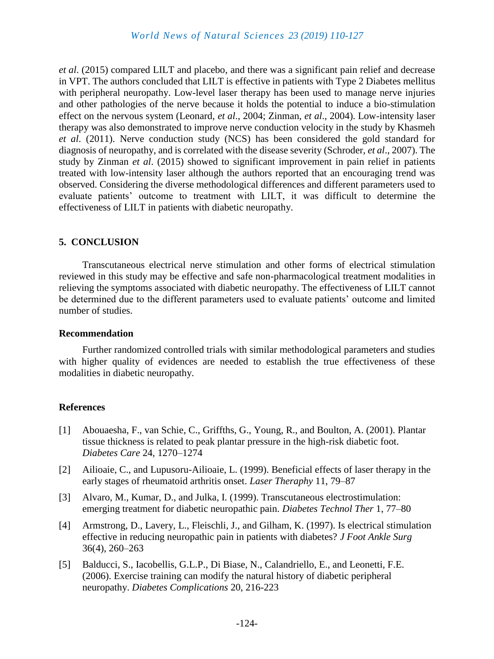*et al*. (2015) compared LILT and placebo, and there was a significant pain relief and decrease in VPT. The authors concluded that LILT is effective in patients with Type 2 Diabetes mellitus with peripheral neuropathy. Low-level laser therapy has been used to manage nerve injuries and other pathologies of the nerve because it holds the potential to induce a bio-stimulation effect on the nervous system (Leonard, *et al*., 2004; Zinman, *et al*., 2004). Low-intensity laser therapy was also demonstrated to improve nerve conduction velocity in the study by Khasmeh *et al*. (2011). Nerve conduction study (NCS) has been considered the gold standard for diagnosis of neuropathy, and is correlated with the disease severity (Schroder, *et al*., 2007). The study by Zinman *et al*. (2015) showed to significant improvement in pain relief in patients treated with low-intensity laser although the authors reported that an encouraging trend was observed. Considering the diverse methodological differences and different parameters used to evaluate patients' outcome to treatment with LILT, it was difficult to determine the effectiveness of LILT in patients with diabetic neuropathy.

#### **5. CONCLUSION**

Transcutaneous electrical nerve stimulation and other forms of electrical stimulation reviewed in this study may be effective and safe non-pharmacological treatment modalities in relieving the symptoms associated with diabetic neuropathy. The effectiveness of LILT cannot be determined due to the different parameters used to evaluate patients' outcome and limited number of studies.

#### **Recommendation**

Further randomized controlled trials with similar methodological parameters and studies with higher quality of evidences are needed to establish the true effectiveness of these modalities in diabetic neuropathy.

#### **References**

- [1] Abouaesha, F., van Schie, C., Griffths, G., Young, R., and Boulton, A. (2001). Plantar tissue thickness is related to peak plantar pressure in the high-risk diabetic foot. *Diabetes Care* 24, 1270–1274
- [2] Ailioaie, C., and Lupusoru-Ailioaie, L. (1999). Beneficial effects of laser therapy in the early stages of rheumatoid arthritis onset. *Laser Theraphy* 11, 79–87
- [3] Alvaro, M., Kumar, D., and Julka, I. (1999). Transcutaneous electrostimulation: emerging treatment for diabetic neuropathic pain. *Diabetes Technol Ther* 1, 77–80
- [4] Armstrong, D., Lavery, L., Fleischli, J., and Gilham, K. (1997). Is electrical stimulation effective in reducing neuropathic pain in patients with diabetes? *J Foot Ankle Surg* 36(4), 260–263
- [5] Balducci, S., Iacobellis, G.L.P., Di Biase, N., Calandriello, E., and Leonetti, F.E. (2006). Exercise training can modify the natural history of diabetic peripheral neuropathy. *Diabetes Complications* 20, 216-223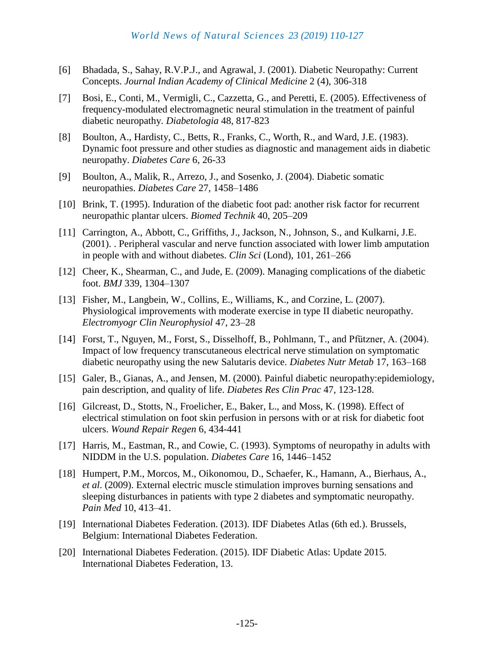- [6] Bhadada, S., Sahay, R.V.P.J., and Agrawal, J. (2001). Diabetic Neuropathy: Current Concepts. *Journal Indian Academy of Clinical Medicine* 2 (4), 306-318
- [7] Bosi, E., Conti, M., Vermigli, C., Cazzetta, G., and Peretti, E. (2005). Effectiveness of frequency-modulated electromagnetic neural stimulation in the treatment of painful diabetic neuropathy. *Diabetologia* 48, 817-823
- [8] Boulton, A., Hardisty, C., Betts, R., Franks, C., Worth, R., and Ward, J.E. (1983). Dynamic foot pressure and other studies as diagnostic and management aids in diabetic neuropathy. *Diabetes Care* 6, 26-33
- [9] Boulton, A., Malik, R., Arrezo, J., and Sosenko, J. (2004). Diabetic somatic neuropathies. *Diabetes Care* 27, 1458–1486
- [10] Brink, T. (1995). Induration of the diabetic foot pad: another risk factor for recurrent neuropathic plantar ulcers. *Biomed Technik* 40, 205–209
- [11] Carrington, A., Abbott, C., Griffiths, J., Jackson, N., Johnson, S., and Kulkarni, J.E. (2001). . Peripheral vascular and nerve function associated with lower limb amputation in people with and without diabetes. *Clin Sci* (Lond), 101, 261–266
- [12] Cheer, K., Shearman, C., and Jude, E. (2009). Managing complications of the diabetic foot. *BMJ* 339, 1304–1307
- [13] Fisher, M., Langbein, W., Collins, E., Williams, K., and Corzine, L. (2007). Physiological improvements with moderate exercise in type II diabetic neuropathy. *Electromyogr Clin Neurophysiol* 47, 23–28
- [14] Forst, T., Nguyen, M., Forst, S., Disselhoff, B., Pohlmann, T., and Pfützner, A. (2004). Impact of low frequency transcutaneous electrical nerve stimulation on symptomatic diabetic neuropathy using the new Salutaris device. *Diabetes Nutr Metab* 17, 163–168
- [15] Galer, B., Gianas, A., and Jensen, M. (2000). Painful diabetic neuropathy: epidemiology, pain description, and quality of life. *Diabetes Res Clin Prac* 47, 123-128.
- [16] Gilcreast, D., Stotts, N., Froelicher, E., Baker, L., and Moss, K. (1998). Effect of electrical stimulation on foot skin perfusion in persons with or at risk for diabetic foot ulcers. *Wound Repair Regen* 6, 434-441
- [17] Harris, M., Eastman, R., and Cowie, C. (1993). Symptoms of neuropathy in adults with NIDDM in the U.S. population. *Diabetes Care* 16, 1446–1452
- [18] Humpert, P.M., Morcos, M., Oikonomou, D., Schaefer, K., Hamann, A., Bierhaus, A., *et al*. (2009). External electric muscle stimulation improves burning sensations and sleeping disturbances in patients with type 2 diabetes and symptomatic neuropathy. *Pain Med* 10, 413–41.
- [19] International Diabetes Federation. (2013). IDF Diabetes Atlas (6th ed.). Brussels, Belgium: International Diabetes Federation.
- [20] International Diabetes Federation. (2015). IDF Diabetic Atlas: Update 2015. International Diabetes Federation, 13.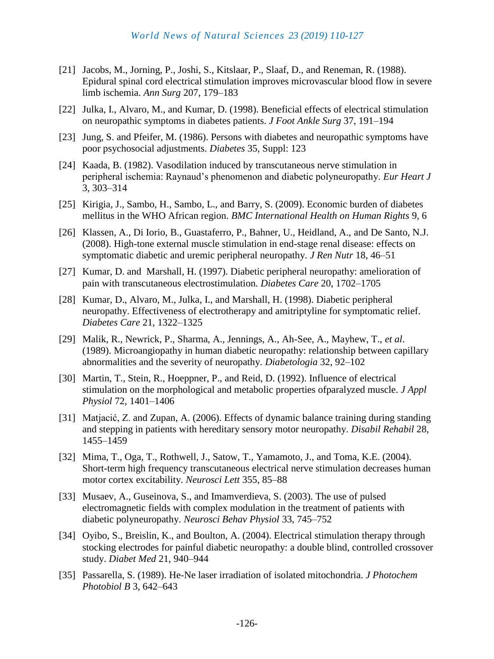- [21] Jacobs, M., Jorning, P., Joshi, S., Kitslaar, P., Slaaf, D., and Reneman, R. (1988). Epidural spinal cord electrical stimulation improves microvascular blood flow in severe limb ischemia. *Ann Surg* 207, 179–183
- [22] Julka, I., Alvaro, M., and Kumar, D. (1998). Beneficial effects of electrical stimulation on neuropathic symptoms in diabetes patients. *J Foot Ankle Surg* 37, 191–194
- [23] Jung, S. and Pfeifer, M. (1986). Persons with diabetes and neuropathic symptoms have poor psychosocial adjustments. *Diabetes* 35, Suppl: 123
- [24] Kaada, B. (1982). Vasodilation induced by transcutaneous nerve stimulation in peripheral ischemia: Raynaud's phenomenon and diabetic polyneuropathy. *Eur Heart J* 3, 303–314
- [25] Kirigia, J., Sambo, H., Sambo, L., and Barry, S. (2009). Economic burden of diabetes mellitus in the WHO African region. *BMC International Health on Human Rights* 9, 6
- [26] Klassen, A., Di Iorio, B., Guastaferro, P., Bahner, U., Heidland, A., and De Santo, N.J. (2008). High-tone external muscle stimulation in end-stage renal disease: effects on symptomatic diabetic and uremic peripheral neuropathy. *J Ren Nutr* 18, 46–51
- [27] Kumar, D. and Marshall, H. (1997). Diabetic peripheral neuropathy: amelioration of pain with transcutaneous electrostimulation. *Diabetes Care* 20, 1702–1705
- [28] Kumar, D., Alvaro, M., Julka, I., and Marshall, H. (1998). Diabetic peripheral neuropathy. Effectiveness of electrotherapy and amitriptyline for symptomatic relief. *Diabetes Care* 21, 1322–1325
- [29] Malik, R., Newrick, P., Sharma, A., Jennings, A., Ah-See, A., Mayhew, T., *et al*. (1989). Microangiopathy in human diabetic neuropathy: relationship between capillary abnormalities and the severity of neuropathy. *Diabetologia* 32, 92–102
- [30] Martin, T., Stein, R., Hoeppner, P., and Reid, D. (1992). Influence of electrical stimulation on the morphological and metabolic properties ofparalyzed muscle. *J Appl Physiol* 72, 1401–1406
- [31] Matjacić, Z. and Zupan, A. (2006). Effects of dynamic balance training during standing and stepping in patients with hereditary sensory motor neuropathy. *Disabil Rehabil* 28, 1455–1459
- [32] Mima, T., Oga, T., Rothwell, J., Satow, T., Yamamoto, J., and Toma, K.E. (2004). Short-term high frequency transcutaneous electrical nerve stimulation decreases human motor cortex excitability. *Neurosci Lett* 355, 85–88
- [33] Musaev, A., Guseinova, S., and Imamverdieva, S. (2003). The use of pulsed electromagnetic fields with complex modulation in the treatment of patients with diabetic polyneuropathy. *Neurosci Behav Physiol* 33, 745–752
- [34] Oyibo, S., Breislin, K., and Boulton, A. (2004). Electrical stimulation therapy through stocking electrodes for painful diabetic neuropathy: a double blind, controlled crossover study. *Diabet Med* 21, 940–944
- [35] Passarella, S. (1989). He-Ne laser irradiation of isolated mitochondria. *J Photochem Photobiol B* 3, 642–643